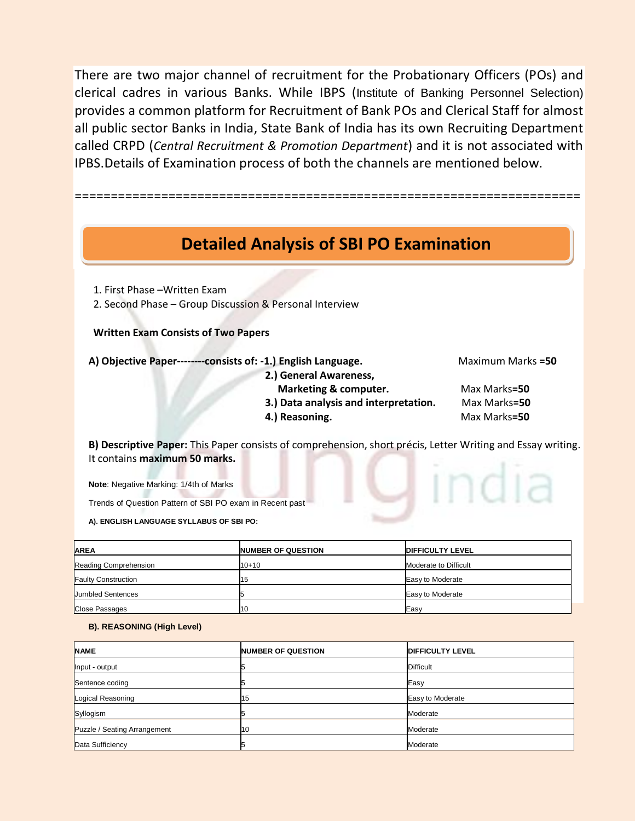There are two major channel of recruitment for the Probationary Officers (POs) and clerical cadres in various Banks. While IBPS (Institute of Banking Personnel Selection) provides a common platform for Recruitment of Bank POs and Clerical Staff for almost all public sector Banks in India, State Bank of India has its own Recruiting Department called CRPD (*Central Recruitment & Promotion Department*) and it is not associated with IPBS.Details of Examination process of both the channels are mentioned below.

======================================================================

# **Detailed Analysis of SBI PO Examination**

1. First Phase –Written Exam

2. Second Phase – Group Discussion & Personal Interview

## **Written Exam Consists of Two Papers**

**A) Objective Paper--------consists of: -1.) English Language.** Maximum Marks **=50**

 **2.) General Awareness,** 

- 
- **Marketing & computer.** Max Marks=50  **3.) Data analysis and interpretation.** Max Marks**=50**
- **4.) Reasoning. Max Marks=50**
- 

**B) Descriptive Paper:** This Paper consists of comprehension, short précis, Letter Writing and Essay writing. It contains **maximum 50 marks. U** india

**Note**: Negative Marking: 1/4th of Marks

Trends of Question Pattern of SBI PO exam in Recent past

**A). ENGLISH LANGUAGE SYLLABUS OF SBI PO:**

| <b>AREA</b>                | <b>NUMBER OF QUESTION</b> | <b>DIFFICULTY LEVEL</b> |
|----------------------------|---------------------------|-------------------------|
| Reading Comprehension      | $10 + 10$                 | Moderate to Difficult   |
| <b>Faulty Construction</b> | 15                        | Easy to Moderate        |
| <b>Jumbled Sentences</b>   |                           | Easy to Moderate        |
| <b>Close Passages</b>      | 10                        | Easy                    |

### **B). REASONING (High Level)**

| <b>NAME</b>                  | <b>NUMBER OF QUESTION</b> | <b>DIFFICULTY LEVEL</b> |
|------------------------------|---------------------------|-------------------------|
| Input - output               |                           | <b>Difficult</b>        |
| Sentence coding              |                           | Easy                    |
| Logical Reasoning            | 15                        | Easy to Moderate        |
| Syllogism                    |                           | Moderate                |
| Puzzle / Seating Arrangement | 10                        | Moderate                |
| Data Sufficiency             |                           | Moderate                |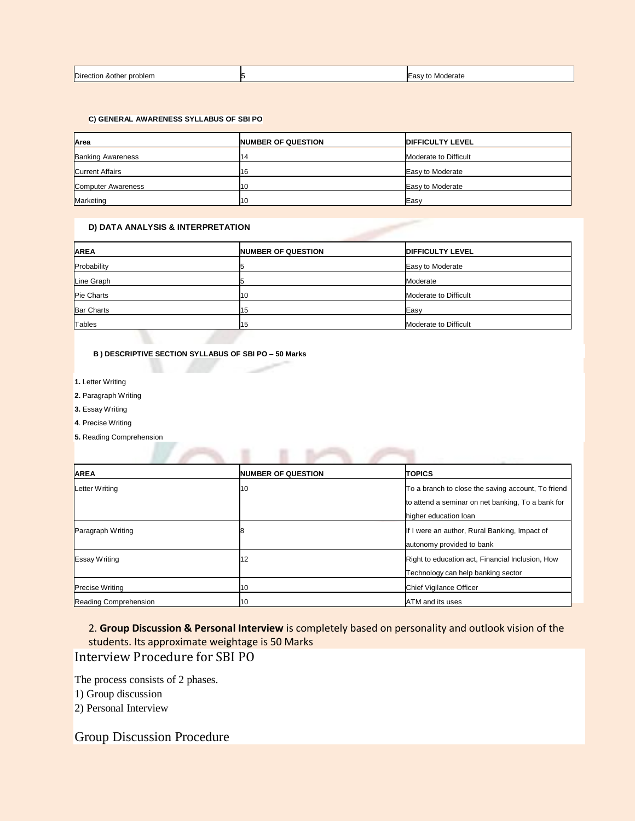| <b>Direction</b><br>ا &other problem<br>. | Moderate<br>lEasy to<br>. |
|-------------------------------------------|---------------------------|
|                                           |                           |

#### **C) GENERAL AWARENESS SYLLABUS OF SBI PO**

| Area                     | <b>NUMBER OF QUESTION</b> | <b>DIFFICULTY LEVEL</b> |
|--------------------------|---------------------------|-------------------------|
| <b>Banking Awareness</b> | 14                        | Moderate to Difficult   |
| <b>Current Affairs</b>   | 116                       | Easy to Moderate        |
| Computer Awareness       | 11 O                      | Easy to Moderate        |
| Marketing                | 11 O                      | Easy                    |

#### **D) DATA ANALYSIS & INTERPRETATION**

| <b>AREA</b>       | <b>NUMBER OF QUESTION</b> | <b>DIFFICULTY LEVEL</b> |
|-------------------|---------------------------|-------------------------|
| Probability       |                           | Easy to Moderate        |
| Line Graph        |                           | Moderate                |
| Pie Charts        | 11 O                      | Moderate to Difficult   |
| <b>Bar Charts</b> | 15                        | Easy                    |
| Tables            | 15                        | Moderate to Difficult   |

### **B ) DESCRIPTIVE SECTION SYLLABUS OF SBI PO – 50 Marks**

٠

и

**1.** Letter Writing

**2.** Paragraph Writing

**3.** Essay Writing

**4**. Precise Writing

**5.** Reading Comprehension

| <b>AREA</b>            | <b>NUMBER OF QUESTION</b> | <b>TOPICS</b>                                      |
|------------------------|---------------------------|----------------------------------------------------|
| Letter Writing         | 10                        | To a branch to close the saving account, To friend |
|                        |                           | to attend a seminar on net banking. To a bank for  |
|                        |                           | higher education loan                              |
| Paragraph Writing      |                           | If I were an author, Rural Banking, Impact of      |
|                        |                           | autonomy provided to bank                          |
| <b>Essay Writing</b>   | 12                        | Right to education act, Financial Inclusion, How   |
|                        |                           | Technology can help banking sector                 |
| <b>Precise Writing</b> | 10                        | Chief Vigilance Officer                            |
| Reading Comprehension  | 10                        | ATM and its uses                                   |

## 2. **Group Discussion & Personal Interview** is completely based on personality and outlook vision of the students. Its approximate weightage is 50 Marks Interview Procedure for SBI PO

The process consists of 2 phases.

1) Group discussion

2) Personal Interview

# Group Discussion Procedure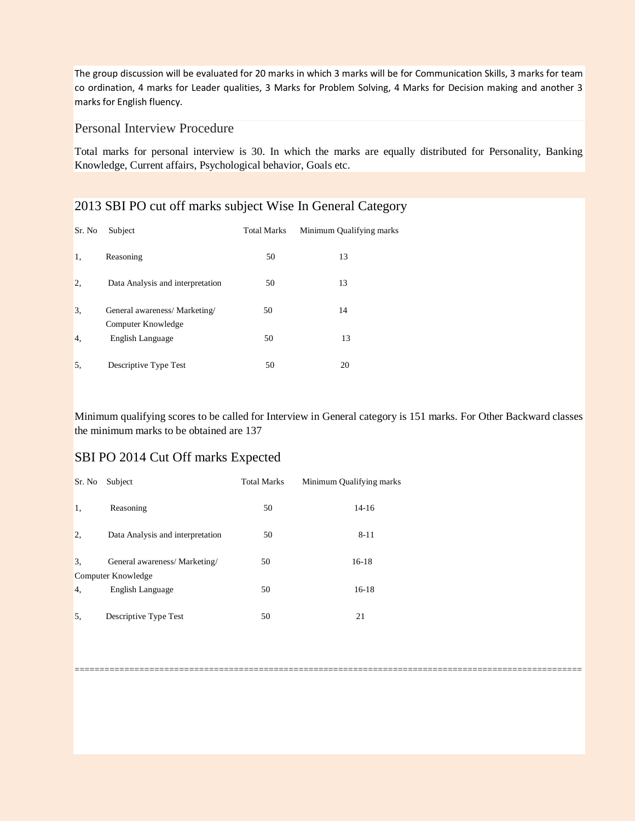The group discussion will be evaluated for 20 marks in which 3 marks will be for Communication Skills, 3 marks for team co ordination, 4 marks for Leader qualities, 3 Marks for Problem Solving, 4 Marks for Decision making and another 3 marks for English fluency.

## Personal Interview Procedure

Total marks for personal interview is 30. In which the marks are equally distributed for Personality, Banking Knowledge, Current affairs, Psychological behavior, Goals etc.

# 2013 SBI PO cut off marks subject Wise In General Category

| Sr. No | Subject                                             | <b>Total Marks</b> | Minimum Qualifying marks |
|--------|-----------------------------------------------------|--------------------|--------------------------|
| 1,     | Reasoning                                           | 50                 | 13                       |
| 2,     | Data Analysis and interpretation                    | 50                 | 13                       |
| 3.     | General awareness/ Marketing/<br>Computer Knowledge | 50                 | 14                       |
| 4.     | English Language                                    | 50                 | 13                       |
| 5.     | Descriptive Type Test                               | 50                 | 20                       |

Minimum qualifying scores to be called for Interview in General category is 151 marks. For Other Backward classes the minimum marks to be obtained are 137

======================================================================================================

## SBI PO 2014 Cut Off marks Expected

| Sr. No | Subject                                            | <b>Total Marks</b> | Minimum Qualifying marks |
|--------|----------------------------------------------------|--------------------|--------------------------|
| 1,     | Reasoning                                          | 50                 | $14-16$                  |
| 2.     | Data Analysis and interpretation                   | 50                 | $8 - 11$                 |
| 3.     | General awareness/Marketing/<br>Computer Knowledge | 50                 | 16-18                    |
| 4.     | English Language                                   | 50                 | $16-18$                  |
| 5.     | Descriptive Type Test                              | 50                 | 21                       |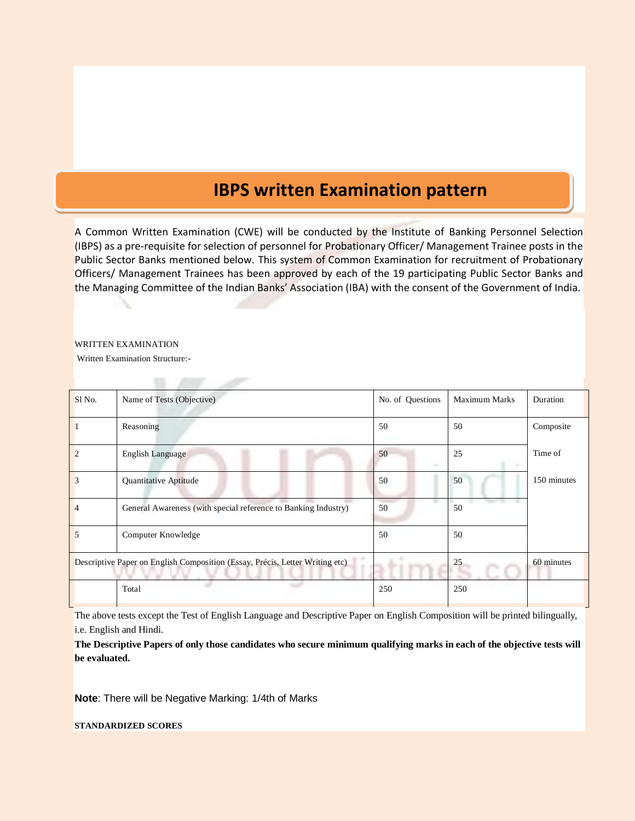# **IBPS written Examination pattern**

A Common Written Examination (CWE) will be conducted by the Institute of Banking Personnel Selection (IBPS) as a pre-requisite for selection of personnel for Probationary Officer/ Management Trainee posts in the Public Sector Banks mentioned below. This system of Common Examination for recruitment of Probationary Officers/ Management Trainees has been approved by each of the 19 participating Public Sector Banks and the Managing Committee of the Indian Banks' Association (IBA) with the consent of the Government of India.

#### WRITTEN EXAMINATION

Written Examination Structure:-

| Sl <sub>No.</sub> | Name of Tests (Objective)                                                    | No. of Questions   | <b>Maximum Marks</b> | Duration    |
|-------------------|------------------------------------------------------------------------------|--------------------|----------------------|-------------|
|                   | Reasoning                                                                    | 50                 | 50                   | Composite   |
|                   | <b>English Language</b>                                                      | 50<br><b>Hotel</b> | 25                   | Time of     |
| 3                 | Quantitative Aptitude                                                        | 50                 | 50                   | 150 minutes |
|                   | General Awareness (with special reference to Banking Industry)               | 50                 | 50                   |             |
| 5                 | Computer Knowledge                                                           | 50                 | 50                   |             |
|                   | Descriptive Paper on English Composition (Essay, Précis, Letter Writing etc) |                    | 25                   | 60 minutes  |
|                   | Total                                                                        | 250                | 250                  |             |

The above tests except the Test of English Language and Descriptive Paper on English Composition will be printed bilingually, i.e. English and Hindi.

**The Descriptive Papers of only those candidates who secure minimum qualifying marks in each of the objective tests will be evaluated.**

**Note**: There will be Negative Marking: 1/4th of Marks

 $\mathbb{R}$  and  $\mathbb{R}$ 

**STANDARDIZED SCORES**